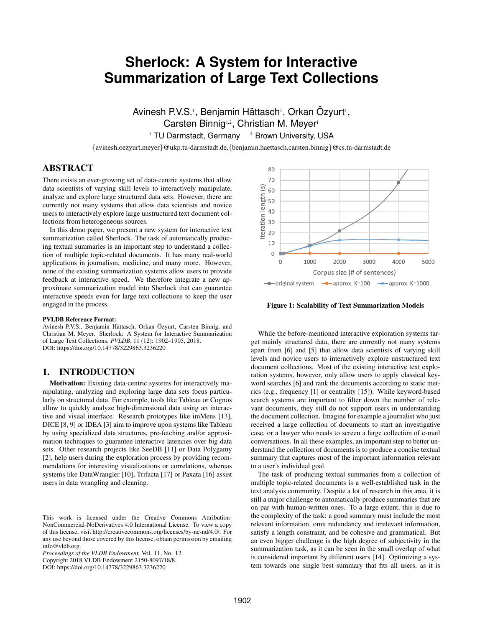# **Sherlock: A System for Interactive Summarization of Large Text Collections**

Avinesh P.V.S.<sup>1</sup>, Benjamin Hättasch<sup>1</sup>, Orkan Özyurt<sup>1</sup>, Carsten Binnig<sup>1,2</sup>, Christian M. Meyer<sup>1</sup>  $1$  TU Darmstadt, Germany  $2$  Brown University, USA

{avinesh,oezyurt,meyer}@ukp.tu-darmstadt.de,{benjamin.haettasch,carsten.binnig}@cs.tu-darmstadt.de

# ABSTRACT

There exists an ever-growing set of data-centric systems that allow data scientists of varying skill levels to interactively manipulate, analyze and explore large structured data sets. However, there are currently not many systems that allow data scientists and novice users to interactively explore large unstructured text document collections from heterogeneous sources.

In this demo paper, we present a new system for interactive text summarization called Sherlock. The task of automatically producing textual summaries is an important step to understand a collection of multiple topic-related documents. It has many real-world applications in journalism, medicine, and many more. However, none of the existing summarization systems allow users to provide feedback at interactive speed. We therefore integrate a new approximate summarization model into Sherlock that can guarantee interactive speeds even for large text collections to keep the user engaged in the process.

#### PVLDB Reference Format:

Avinesh P.V.S., Benjamin Hättasch, Orkan Özyurt, Carsten Binnig, and Christian M. Meyer. Sherlock: A System for Interactive Summarization of Large Text Collections. *PVLDB*, 11 (12): 1902–1905, 2018. DOI: https://doi.org/10.14778/3229863.3236220

# 1. INTRODUCTION

Motivation: Existing data-centric systems for interactively manipulating, analyzing and exploring large data sets focus particularly on structured data. For example, tools like Tableau or Cognos allow to quickly analyze high-dimensional data using an interactive and visual interface. Research prototypes like imMens [\[13\]](#page-3-0), DICE [\[8,](#page-3-1) [9\]](#page-3-2) or IDEA [\[3\]](#page-3-3) aim to improve upon systems like Tableau by using specialized data structures, pre-fetching and/or approximation techniques to guarantee interactive latencies over big data sets. Other research projects like SeeDB [\[11\]](#page-3-4) or Data Polygamy [\[2\]](#page-3-5), help users during the exploration process by providing recommendations for interesting visualizations or correlations, whereas systems like DataWrangler [\[10\]](#page-3-6), Trifacta [\[17\]](#page-3-7) or Paxata [\[16\]](#page-3-8) assist users in data wrangling and cleaning.

*Proceedings of the VLDB Endowment,* Vol. 11, No. 12

Copyright 2018 VLDB Endowment 2150-8097/18/8.

DOI: https://doi.org/10.14778/3229863.3236220



<span id="page-0-0"></span>Figure 1: Scalability of Text Summarization Models

While the before-mentioned interactive exploration systems target mainly structured data, there are currently not many systems apart from [\[6\]](#page-3-9) and [\[5\]](#page-3-10) that allow data scientists of varying skill levels and novice users to interactively explore unstructured text document collections. Most of the existing interactive text exploration systems, however, only allow users to apply classical keyword searches [\[6\]](#page-3-9) and rank the documents according to static metrics (e.g., frequency [\[1\]](#page-3-11) or centrality [\[15\]](#page-3-12)). While keyword-based search systems are important to filter down the number of relevant documents, they still do not support users in understanding the document collection. Imagine for example a journalist who just received a large collection of documents to start an investigative case, or a lawyer who needs to screen a large collection of e-mail conversations. In all these examples, an important step to better understand the collection of documents is to produce a concise textual summary that captures most of the important information relevant to a user's individual goal.

The task of producing textual summaries from a collection of multiple topic-related documents is a well-established task in the text analysis community. Despite a lot of research in this area, it is still a major challenge to automatically produce summaries that are on par with human-written ones. To a large extent, this is due to the complexity of the task: a good summary must include the most relevant information, omit redundancy and irrelevant information, satisfy a length constraint, and be cohesive and grammatical. But an even bigger challenge is the high degree of subjectivity in the summarization task, as it can be seen in the small overlap of what is considered important by different users [\[14\]](#page-3-13). Optimizing a system towards one single best summary that fits all users, as it is

This work is licensed under the Creative Commons Attribution-NonCommercial-NoDerivatives 4.0 International License. To view a copy of this license, visit http://creativecommons.org/licenses/by-nc-nd/4.0/. For any use beyond those covered by this license, obtain permission by emailing info@vldb.org.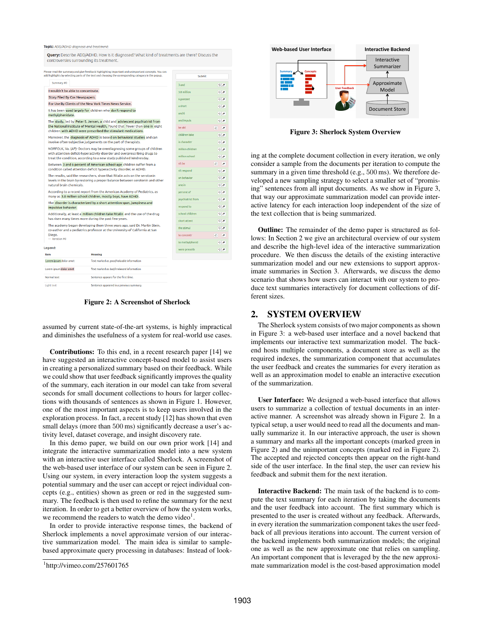#### Topic: ADD/ADHD diganosis and treatment

Ouery: Describe ADD/ADHD. How is it diagnosed? What kind of treatments are there? Discuss the controversies surrounding its treatment

| Please read the summary and give feedback highlighting important and unimportant concepts. You can<br>add highlights by selecting parts of the text and choosing the corresponding category in the popup.                   |                                                                                                                                           | Submit                         |                                                      |
|-----------------------------------------------------------------------------------------------------------------------------------------------------------------------------------------------------------------------------|-------------------------------------------------------------------------------------------------------------------------------------------|--------------------------------|------------------------------------------------------|
| Summary #0                                                                                                                                                                                                                  |                                                                                                                                           | 3 and                          | $\overline{\mathcal{O}}$                             |
| I wouldn't be able to concentrate.                                                                                                                                                                                          |                                                                                                                                           | 3.8 million                    | $\overline{\sigma}$                                  |
| Story Filed By Cox Newspapers.                                                                                                                                                                                              |                                                                                                                                           | 6 percent                      | $\circ$                                              |
| For Use By Clients of the New York Times News Service.                                                                                                                                                                      |                                                                                                                                           | a short                        | $\circ$                                              |
| It has been used largely for children who don't respond to<br>methylphenidate.                                                                                                                                              |                                                                                                                                           | and $6$                        | $Q_{\alpha}$                                         |
| The study, led by Peter S. Jensen, a child and adolescent psychiatrist from<br>the National Institute of Mental Health, found that fewer than one in eight<br>children with ADHD were prescribed the stimulant medications. |                                                                                                                                           | and impuls<br>be abl           | $Q$ $\sigma$<br>$\overline{a}$<br>Δ                  |
|                                                                                                                                                                                                                             | Moreover, the diagnosis of ADHD is base d on behavioral studies and can<br>involve often-subjective judgements on the part of therapists. | children take<br>is character. | $\circ$<br>$\circ$ <sub>o</sub>                      |
|                                                                                                                                                                                                                             | NORFOLK, Va. (AP)- Doctors may be overdiagnosing some groups of children                                                                  |                                | $\circ$ <sub>o</sub>                                 |
| with attention deficit-hyperactivity disorder and overprescribing drugs to<br>treat the condition, according to a new study published Wednesday.                                                                            |                                                                                                                                           | million school                 | Q                                                    |
| Between 3 and 6 percent of American school-age children suffer from a                                                                                                                                                       |                                                                                                                                           | n't be                         | $\overline{a}$<br>Δ                                  |
| condition called attention deficit hyperactivity disorder, or ADHD.                                                                                                                                                         |                                                                                                                                           | n't respond                    | $Q_{\alpha}$                                         |
| The results, said the researchers, show that Ritalin acts on the serotonin<br>levels in the brain by restoring a proper balance between serotonin and other<br>natural brain chemicals.                                     |                                                                                                                                           | on behavior<br>one in          | $\overline{\mathcal{O}}$<br>$\overline{\mathcal{Q}}$ |
| According to a recent report from the American Academy of Pediatrics, as                                                                                                                                                    |                                                                                                                                           | percent of                     | $\overline{\mathcal{O}}$                             |
| many as 3.8 million school children, mostly boys, have ADHD.                                                                                                                                                                |                                                                                                                                           | psychiatrist from              | $Q_{\sigma}$                                         |
| The disorder is characterized by a short attention span, jumpiness and<br>impulsive behavior.                                                                                                                               |                                                                                                                                           | respond to                     | $Q$ $\sigma$                                         |
| Additionally, at least a million children take Ritalin and the use of the drug                                                                                                                                              |                                                                                                                                           | school children.               | $Q$ $\sigma$                                         |
| has risen many times more during the past few years.                                                                                                                                                                        |                                                                                                                                           | short attent                   | $0\sigma$                                            |
| The academy began developing them three years ago, said Dr. Martin Stein,<br>co-author and a pediatrics professor at the University of California at San<br>Diego.<br>$-$ iteration #0                                      |                                                                                                                                           | the stimul                     | $\mathbf{Q}$ $\boldsymbol{\sigma}$                   |
|                                                                                                                                                                                                                             |                                                                                                                                           | to concentr                    | $\circ$ $\circ$                                      |
|                                                                                                                                                                                                                             |                                                                                                                                           | to methylphenid                | $Q$ $\sigma$                                         |
| Legend:                                                                                                                                                                                                                     |                                                                                                                                           | were prescrib                  | $Q_{\sigma}$                                         |
| Item                                                                                                                                                                                                                        | <b>Meaning</b>                                                                                                                            |                                |                                                      |
| Lorem ipsum dolor amet                                                                                                                                                                                                      | Text marked as good/valuable information                                                                                                  |                                |                                                      |
| Lorem ipsum dolor amet                                                                                                                                                                                                      | Text marked as <i>bad/irrelevant</i> information                                                                                          |                                |                                                      |
| Normal text                                                                                                                                                                                                                 | Sentence appears for the first time.                                                                                                      |                                |                                                      |
| <b>Light text</b>                                                                                                                                                                                                           | Sentence appeared in a previous summary.                                                                                                  |                                |                                                      |

<span id="page-1-0"></span>Figure 2: A Screenshot of Sherlock

assumed by current state-of-the-art systems, is highly impractical and diminishes the usefulness of a system for real-world use cases.

Contributions: To this end, in a recent research paper [\[14\]](#page-3-13) we have suggested an interactive concept-based model to assist users in creating a personalized summary based on their feedback. While we could show that user feedback significantly improves the quality of the summary, each iteration in our model can take from several seconds for small document collections to hours for larger collections with thousands of sentences as shown in Figure [1.](#page-0-0) However, one of the most important aspects is to keep users involved in the exploration process. In fact, a recent study [\[12\]](#page-3-14) has shown that even small delays (more than 500 ms) significantly decrease a user's activity level, dataset coverage, and insight discovery rate.

In this demo paper, we build on our own prior work [\[14\]](#page-3-13) and integrate the interactive summarization model into a new system with an interactive user interface called Sherlock. A screenshot of the web-based user interface of our system can be seen in Figure [2.](#page-1-0) Using our system, in every interaction loop the system suggests a potential summary and the user can accept or reject individual concepts (e.g., entities) shown as green or red in the suggested summary. The feedback is then used to refine the summary for the next iteration. In order to get a better overview of how the system works, we recommend the readers to watch the demo video $<sup>1</sup>$  $<sup>1</sup>$  $<sup>1</sup>$ .</sup>

In order to provide interactive response times, the backend of Sherlock implements a novel approximate version of our interactive summarization model. The main idea is similar to samplebased approximate query processing in databases: Instead of look-



<span id="page-1-2"></span>Figure 3: Sherlock System Overview

ing at the complete document collection in every iteration, we only consider a sample from the documents per iteration to compute the summary in a given time threshold (e.g., 500 ms). We therefore developed a new sampling strategy to select a smaller set of "promising" sentences from all input documents. As we show in Figure [3,](#page-1-2) that way our approximate summarization model can provide interactive latency for each interaction loop independent of the size of the text collection that is being summarized.

Outline: The remainder of the demo paper is structured as follows: In Section [2](#page-1-3) we give an architectural overview of our system and describe the high-level idea of the interactive summarization procedure. We then discuss the details of the existing interactive summarization model and our new extensions to support approximate summaries in Section [3.](#page-2-0) Afterwards, we discuss the demo scenario that shows how users can interact with our system to produce text summaries interactively for document collections of different sizes.

### <span id="page-1-3"></span>2. SYSTEM OVERVIEW

The Sherlock system consists of two major components as shown in Figure [3:](#page-1-2) a web-based user interface and a novel backend that implements our interactive text summarization model. The backend hosts multiple components, a document store as well as the required indexes, the summarization component that accumulates the user feedback and creates the summaries for every iteration as well as an approximation model to enable an interactive execution of the summarization.

User Interface: We designed a web-based interface that allows users to summarize a collection of textual documents in an interactive manner. A screenshot was already shown in Figure [2.](#page-1-0) In a typical setup, a user would need to read all the documents and manually summarize it. In our interactive approach, the user is shown a summary and marks all the important concepts (marked green in Figure [2\)](#page-1-0) and the unimportant concepts (marked red in Figure [2\)](#page-1-0). The accepted and rejected concepts then appear on the right-hand side of the user interface. In the final step, the user can review his feedback and submit them for the next iteration.

Interactive Backend: The main task of the backend is to compute the text summary for each iteration by taking the documents and the user feedback into account. The first summary which is presented to the user is created without any feedback. Afterwards, in every iteration the summarization component takes the user feedback of all previous iterations into account. The current version of the backend implements both summarization models; the original one as well as the new approximate one that relies on sampling. An important component that is leveraged by the the new approximate summarization model is the cost-based approximation model

<span id="page-1-1"></span><sup>1</sup> <http://vimeo.com/257601765>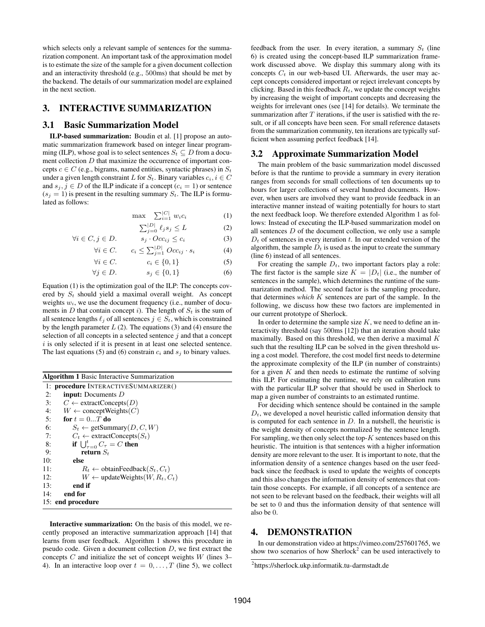which selects only a relevant sample of sentences for the summarization component. An important task of the approximation model is to estimate the size of the sample for a given document collection and an interactivity threshold (e.g., 500ms) that should be met by the backend. The details of our summarization model are explained in the next section.

# <span id="page-2-0"></span>3. INTERACTIVE SUMMARIZATION

#### 3.1 Basic Summarization Model

ILP-based summarization: Boudin et al. [\[1\]](#page-3-11) propose an automatic summarization framework based on integer linear programming (ILP), whose goal is to select sentences  $S_t \subseteq D$  from a document collection D that maximize the occurrence of important concepts  $c \in C$  (e.g., bigrams, named entities, syntactic phrases) in  $S_t$ under a given length constraint L for  $S_t$ . Binary variables  $c_i, i \in C$ and  $s_i, j \in D$  of the ILP indicate if a concept  $(c_i = 1)$  or sentence  $(s_i = 1)$  is present in the resulting summary  $S_t$ . The ILP is formulated as follows:

$$
\max \quad \sum_{i=1}^{|C|} w_i c_i \tag{1}
$$

<span id="page-2-1"></span>
$$
\sum_{j=0}^{|D|} \ell_j s_j \le L \tag{2}
$$

$$
\forall i \in C, j \in D. \qquad s_j \cdot Occ_{ij} \le c_i \tag{3}
$$

$$
\forall i \in C. \qquad c_i \le \sum_{j=1}^{|D|} Occ_{ij} \cdot s_i \tag{4}
$$

$$
\forall i \in C. \qquad \qquad c_i \in \{0, 1\} \tag{5}
$$

$$
\forall j \in D. \tag{6}
$$

Equation [\(1\)](#page-2-1) is the optimization goal of the ILP: The concepts covered by  $S_t$  should yield a maximal overall weight. As concept weights  $w_i$ , we use the document frequency (i.e., number of documents in D that contain concept i). The length of  $S_t$  is the sum of all sentence lengths  $\ell_j$  of all sentences  $j \in S_t$ , which is constrained by the length parameter  $L(2)$  $L(2)$ . The equations [\(3\)](#page-2-1) and [\(4\)](#page-2-1) ensure the selection of all concepts in a selected sentence  $j$  and that a concept  $i$  is only selected if it is present in at least one selected sentence. The last equations [\(5\)](#page-2-1) and [\(6\)](#page-2-1) constrain  $c_i$  and  $s_j$  to binary values.

<span id="page-2-2"></span>

| <b>Algorithm 1 Basic Interactive Summarization</b>   |  |  |
|------------------------------------------------------|--|--|
| 1: <b>procedure</b> INTERACTIVESUMMARIZER()          |  |  |
| 2:<br><b>input:</b> Documents $D$                    |  |  |
| $C \leftarrow$ extractConcepts(D)<br>3:              |  |  |
| $W \leftarrow$ concept Weights $(C)$<br>4:           |  |  |
| 5:<br>for $t = 0T$ do                                |  |  |
| 6:<br>$S_t \leftarrow$ getSummary(D, C, W)           |  |  |
| $C_t \leftarrow$ extractConcepts( $S_t$ )<br>7:      |  |  |
| if $\bigcup_{\tau=0}^t C_\tau = C$ then<br>8:        |  |  |
| return $S_t$<br>9:                                   |  |  |
| 10:<br>else                                          |  |  |
| $R_t \leftarrow$ obtain Feedback $(S_t, C_t)$<br>11: |  |  |
| $W \leftarrow$ update Weights $(W, R_t, C_t)$<br>12: |  |  |
| end if<br>13:                                        |  |  |
| 14:<br>end for                                       |  |  |
| 15: end procedure                                    |  |  |

Interactive summarization: On the basis of this model, we recently proposed an interactive summarization approach [\[14\]](#page-3-13) that learns from user feedback. Algorithm [1](#page-2-2) shows this procedure in pseudo code. Given a document collection D, we first extract the concepts  $C$  and initialize the set of concept weights  $W$  (lines [3–](#page-2-2) [4\)](#page-2-2). In an interactive loop over  $t = 0, \ldots, T$  (line [5\)](#page-2-2), we collect

feedback from the user. In every iteration, a summary  $S_t$  (line [6\)](#page-2-2) is created using the concept-based ILP summarization framework discussed above. We display this summary along with its concepts  $C_t$  in our web-based UI. Afterwards, the user may accept concepts considered important or reject irrelevant concepts by clicking. Based in this feedback  $R_t$ , we update the concept weights by increasing the weight of important concepts and decreasing the weights for irrelevant ones (see [\[14\]](#page-3-13) for details). We terminate the summarization after  $T$  iterations, if the user is satisfied with the result, or if all concepts have been seen. For small reference datasets from the summarization community, ten iterations are typically sufficient when assuming perfect feedback [\[14\]](#page-3-13).

#### 3.2 Approximate Summarization Model

The main problem of the basic summarization model discussed before is that the runtime to provide a summary in every iteration ranges from seconds for small collections of ten documents up to hours for larger collections of several hundred documents. However, when users are involved they want to provide feedback in an interactive manner instead of waiting potentially for hours to start the next feedback loop. We therefore extended Algorithm [1](#page-2-2) as follows: Instead of executing the ILP-based summarization model on all sentences  $D$  of the document collection, we only use a sample  $D_t$  of sentences in every iteration t. In our extended version of the algorithm, the sample  $D_t$  is used as the input to create the summary (line [6\)](#page-2-2) instead of all sentences.

For creating the sample  $D_t$ , two important factors play a role: The first factor is the sample size  $K = |D_t|$  (i.e., the number of sentences in the sample), which determines the runtime of the summarization method. The second factor is the sampling procedure, that determines *which* K sentences are part of the sample. In the following, we discuss how these two factors are implemented in our current prototype of Sherlock.

In order to determine the sample size  $K$ , we need to define an interactivity threshold (say 500ms [\[12\]](#page-3-14)) that an iteration should take maximally. Based on this threshold, we then derive a maximal  $K$ such that the resulting ILP can be solved in the given threshold using a cost model. Therefore, the cost model first needs to determine the approximate complexity of the ILP (in number of constraints) for a given  $K$  and then needs to estimate the runtime of solving this ILP. For estimating the runtime, we rely on calibration runs with the particular ILP solver that should be used in Sherlock to map a given number of constraints to an estimated runtime.

For deciding which sentence should be contained in the sample  $D_t$ , we developed a novel heuristic called information density that is computed for each sentence in  $D$ . In a nutshell, the heuristic is the weight density of concepts normalized by the sentence length. For sampling, we then only select the top- $K$  sentences based on this heuristic. The intuition is that sentences with a higher information density are more relevant to the user. It is important to note, that the information density of a sentence changes based on the user feedback since the feedback is used to update the weights of concepts and this also changes the information density of sentences that contain those concepts. For example, if all concepts of a sentence are not seen to be relevant based on the feedback, their weights will all be set to 0 and thus the information density of that sentence will also be 0.

#### 4. DEMONSTRATION

In our demonstration video at [https://vimeo.com/257601765,](https://vimeo.com/257601765) we show two scenarios of how Sherlock<sup>[2](#page-2-3)</sup> can be used interactively to

<span id="page-2-3"></span><sup>2</sup> <https://sherlock.ukp.informatik.tu-darmstadt.de>